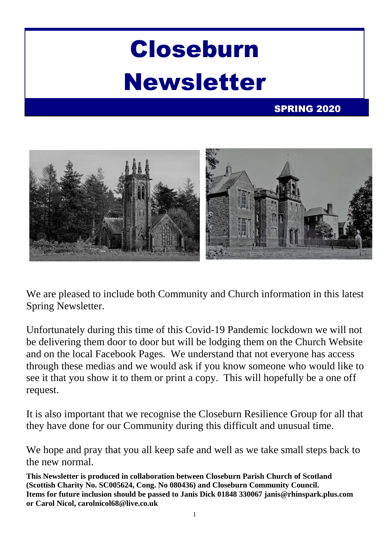# Closeburn Newsletter

### SPRING 2020



We are pleased to include both Community and Church information in this latest Spring Newsletter.

Unfortunately during this time of this Covid-19 Pandemic lockdown we will not be delivering them door to door but will be lodging them on the Church Website and on the local Facebook Pages. We understand that not everyone has access through these medias and we would ask if you know someone who would like to see it that you show it to them or print a copy. This will hopefully be a one off request.

It is also important that we recognise the Closeburn Resilience Group for all that they have done for our Community during this difficult and unusual time.

We hope and pray that you all keep safe and well as we take small steps back to the new normal.

**This Newsletter is produced in collaboration between Closeburn Parish Church of Scotland (Scottish Charity No. SC005624, Cong. No 080436) and Closeburn Community Council. Items for future inclusion should be passed to Janis Dick 01848 330067 janis@rhinspark.plus.com or Carol Nicol, carolnicol68@live.co.uk**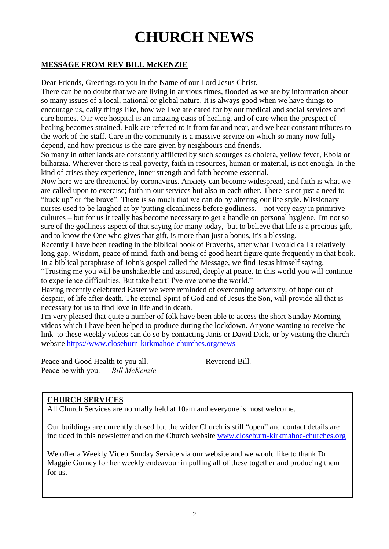# **CHURCH NEWS**

#### **MESSAGE FROM REV BILL McKENZIE**

Dear Friends, Greetings to you in the Name of our Lord Jesus Christ.

There can be no doubt that we are living in anxious times, flooded as we are by information about so many issues of a local, national or global nature. It is always good when we have things to encourage us, daily things like, how well we are cared for by our medical and social services and care homes. Our wee hospital is an amazing oasis of healing, and of care when the prospect of healing becomes strained. Folk are referred to it from far and near, and we hear constant tributes to the work of the staff. Care in the community is a massive service on which so many now fully depend, and how precious is the care given by neighbours and friends.

So many in other lands are constantly afflicted by such scourges as cholera, yellow fever, Ebola or bilharzia. Wherever there is real poverty, faith in resources, human or material, is not enough. In the kind of crises they experience, inner strength and faith become essential.

Now here we are threatened by coronavirus. Anxiety can become widespread, and faith is what we are called upon to exercise; faith in our services but also in each other. There is not just a need to "buck up" or "be brave". There is so much that we can do by altering our life style. Missionary nurses used to be laughed at by 'putting cleanliness before godliness.' - not very easy in primitive cultures – but for us it really has become necessary to get a handle on personal hygiene. I'm not so sure of the godliness aspect of that saying for many today, but to believe that life is a precious gift, and to know the One who gives that gift, is more than just a bonus, it's a blessing.

Recently I have been reading in the biblical book of Proverbs, after what I would call a relatively long gap. Wisdom, peace of mind, faith and being of good heart figure quite frequently in that book. In a biblical paraphrase of John's gospel called the Message, we find Jesus himself saying,

"Trusting me you will be unshakeable and assured, deeply at peace. In this world you will continue to experience difficulties, But take heart! I've overcome the world."

Having recently celebrated Easter we were reminded of overcoming adversity, of hope out of despair, of life after death. The eternal Spirit of God and of Jesus the Son, will provide all that is necessary for us to find love in life and in death.

I'm very pleased that quite a number of folk have been able to access the short Sunday Morning videos which I have been helped to produce during the lockdown. Anyone wanting to receive the link to these weekly videos can do so by contacting Janis or David Dick, or by visiting the church website<https://www.closeburn-kirkmahoe-churches.org/news>

Peace and Good Health to you all. Reverend Bill. Peace be with you. *Bill McKenzie*

#### **CHURCH SERVICES**

All Church Services are normally held at 10am and everyone is most welcome.

Our buildings are currently closed but the wider Church is still "open" and contact details are included in this newsletter and on the Church website [www.closeburn-kirkmahoe-churches.org](http://www.closeburn-kirkmahoe-churches.org/)

We offer a Weekly Video Sunday Service via our website and we would like to thank Dr. Maggie Gurney for her weekly endeavour in pulling all of these together and producing them for us.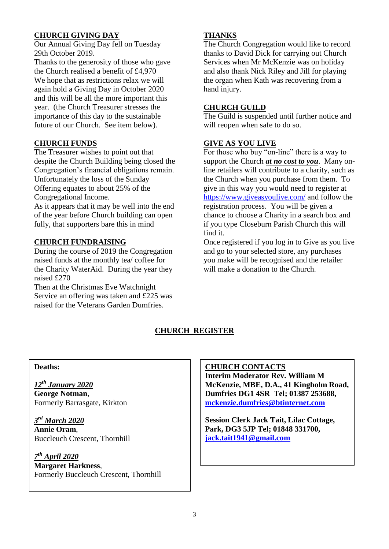#### **CHURCH GIVING DAY**

Our Annual Giving Day fell on Tuesday 29th October 2019.

Thanks to the generosity of those who gave the Church realised a benefit of £4,970 We hope that as restrictions relax we will again hold a Giving Day in October 2020 and this will be all the more important this year. (the Church Treasurer stresses the importance of this day to the sustainable future of our Church. See item below).

#### **CHURCH FUNDS**

The Treasurer wishes to point out that despite the Church Building being closed the Congregation's financial obligations remain. Unfortunately the loss of the Sunday Offering equates to about 25% of the Congregational Income.

As it appears that it may be well into the end of the year before Church building can open fully, that supporters bare this in mind

#### **CHURCH FUNDRAISING**

During the course of 2019 the Congregation raised funds at the monthly tea/ coffee for the Charity WaterAid. During the year they raised £270

Then at the Christmas Eve Watchnight Service an offering was taken and £225 was raised for the Veterans Garden Dumfries.

#### **THANKS**

The Church Congregation would like to record thanks to David Dick for carrying out Church Services when Mr McKenzie was on holiday and also thank Nick Riley and Jill for playing the organ when Kath was recovering from a hand injury.

#### **CHURCH GUILD**

The Guild is suspended until further notice and will reopen when safe to do so.

#### **GIVE AS YOU LIVE**

For those who buy "on-line" there is a way to support the Church *at no cost to you*. Many online retailers will contribute to a charity, such as the Church when you purchase from them. To give in this way you would need to register at <https://www.giveasyoulive.com/> and follow the registration process. You will be given a chance to choose a Charity in a search box and if you type Closeburn Parish Church this will find it.

Once registered if you log in to Give as you live and go to your selected store, any purchases you make will be recognised and the retailer will make a donation to the Church.

#### **CHURCH REGISTER**

#### **Deaths:**

*12th January 2020* **George Notman**, Formerly Barrasgate, Kirkton

*3 rd March 2020* **Annie Oram**, Buccleuch Crescent, Thornhill

*7 th April 2020* **Margaret Harkness**, Formerly Buccleuch Crescent, Thornhill

#### **CHURCH CONTACTS**

**Interim Moderator Rev. William M McKenzie, MBE, D.A., 41 Kingholm Road, Dumfries DG1 4SR Tel; 01387 253688, [mckenzie.dumfries@btinternet.com](mailto:mckenzie.dumfries@btinternet.com)** 

**Session Clerk Jack Tait, Lilac Cottage, Park, DG3 5JP Tel; 01848 331700, [jack.tait1941@gmail.com](mailto:jack.tait@tiscali.co.uk)**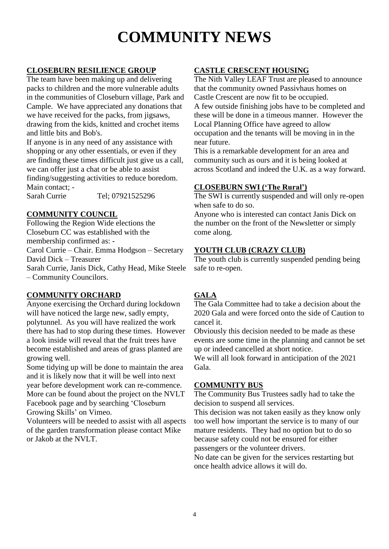# **COMMUNITY NEWS**

#### **CLOSEBURN RESILIENCE GROUP**

The team have been making up and delivering packs to children and the more vulnerable adults in the communities of Closeburn village, Park and Cample. We have appreciated any donations that we have received for the packs, from jigsaws, drawing from the kids, knitted and crochet items and little bits and Bob's.

If anyone is in any need of any assistance with shopping or any other essentials, or even if they are finding these times difficult just give us a call, we can offer just a chat or be able to assist finding/suggesting activities to reduce boredom. Main contact; -

Sarah Currie Tel: 07921525296

#### **COMMUNITY COUNCIL**

Following the Region Wide elections the Closeburn CC was established with the membership confirmed as: - Carol Currie – Chair. Emma Hodgson – Secretary

David Dick – Treasurer Sarah Currie, Janis Dick, Cathy Head, Mike Steele

– Community Councilors.

#### **COMMUNITY ORCHARD**

Anyone exercising the Orchard during lockdown will have noticed the large new, sadly empty, polytunnel. As you will have realized the work there has had to stop during these times. However a look inside will reveal that the fruit trees have become established and areas of grass planted are growing well.

Some tidying up will be done to maintain the area and it is likely now that it will be well into next year before development work can re-commence. More can be found about the project on the NVLT Facebook page and by searching 'Closeburn Growing Skills' on Vimeo.

Volunteers will be needed to assist with all aspects of the garden transformation please contact Mike or Jakob at the NVLT.

#### **CASTLE CRESCENT HOUSING**

The Nith Valley LEAF Trust are pleased to announce that the community owned Passivhaus homes on Castle Crescent are now fit to be occupied.

A few outside finishing jobs have to be completed and these will be done in a timeous manner. However the Local Planning Office have agreed to allow occupation and the tenants will be moving in in the near future.

This is a remarkable development for an area and community such as ours and it is being looked at across Scotland and indeed the U.K. as a way forward.

#### **CLOSEBURN SWI ('The Rural')**

The SWI is currently suspended and will only re-open when safe to do so.

Anyone who is interested can contact Janis Dick on the number on the front of the Newsletter or simply come along.

## **YOUTH CLUB (CRAZY CLUB)**<br>The youth club is currently suspend

The youth club is currently suspended pending being safe to re-open.

#### **GALA**

The Gala Committee had to take a decision about the 2020 Gala and were forced onto the side of Caution to cancel it.

Obviously this decision needed to be made as these events are some time in the planning and cannot be set up or indeed cancelled at short notice.

We will all look forward in anticipation of the 2021 Gala.

#### **COMMUNITY BUS**

The Community Bus Trustees sadly had to take the decision to suspend all services.

This decision was not taken easily as they know only too well how important the service is to many of our mature residents. They had no option but to do so because safety could not be ensured for either passengers or the volunteer drivers.

No date can be given for the services restarting but once health advice allows it will do.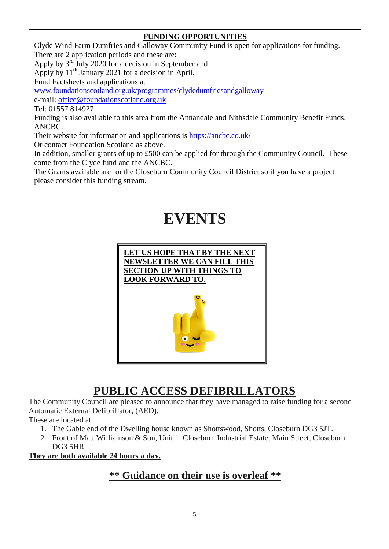#### **FUNDING OPPORTUNITIES**

Clyde Wind Farm Dumfries and Galloway Community Fund is open for applications for funding. There are 2 application periods and these are: Apply by  $3<sup>rd</sup>$  July 2020 for a decision in September and Apply by  $11<sup>th</sup>$  January 2021 for a decision in April. Fund Factsheets and applications at [www.foundationscotland.org.uk/programmes/clydedumfriesandgalloway](http://www.foundationscotland.org.uk/programmes/clydedumfriesandgalloway) e-mail: [office@foundationscotland.org.uk](mailto:office@foundationscotland.org.uk) Tel: 01557 814927 Funding is also available to this area from the Annandale and Nithsdale Community Benefit Funds. ANCBC. Their website for information and applications is<https://ancbc.co.uk/> Or contact Foundation Scotland as above. In addition, smaller grants of up to £500 can be applied for through the Community Council. These come from the Clyde fund and the ANCBC. The Grants available are for the Closeburn Community Council District so if you have a project please consider this funding stream.

# **EVENTS**



### **PUBLIC ACCESS DEFIBRILLATORS**

The Community Council are pleased to announce that they have managed to raise funding for a second Automatic External Defibrillator, (AED).

These are located at

- 1. The Gable end of the Dwelling house known as Shottswood, Shotts, Closeburn DG3 5JT.
- 2. Front of Matt Williamson & Son, Unit 1, Closeburn Industrial Estate, Main Street, Closeburn, DG3 5HR

**They are both available 24 hours a day.**

### **\*\* Guidance on their use is overleaf \*\***